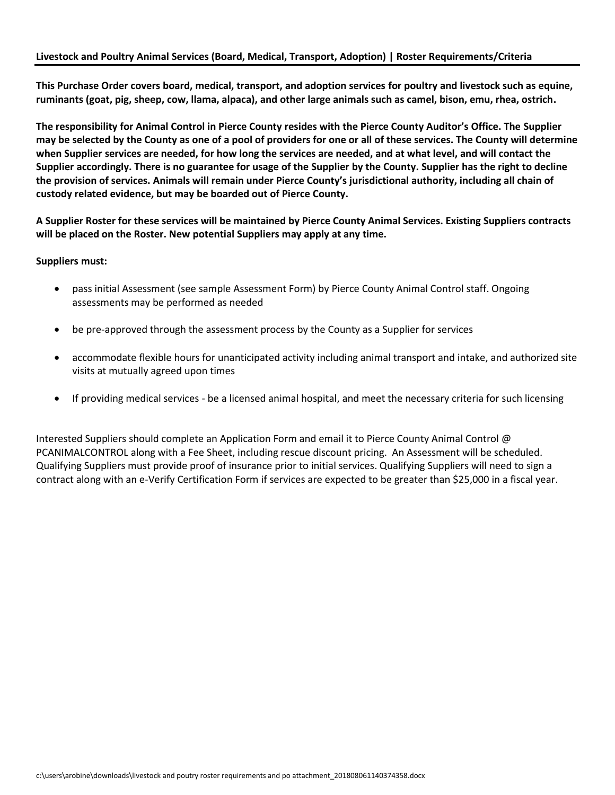**This Purchase Order covers board, medical, transport, and adoption services for poultry and livestock such as equine, ruminants (goat, pig, sheep, cow, llama, alpaca), and other large animals such as camel, bison, emu, rhea, ostrich.**

**The responsibility for Animal Control in Pierce County resides with the Pierce County Auditor's Office. The Supplier may be selected by the County as one of a pool of providers for one or all of these services. The County will determine when Supplier services are needed, for how long the services are needed, and at what level, and will contact the Supplier accordingly. There is no guarantee for usage of the Supplier by the County. Supplier has the right to decline the provision of services. Animals will remain under Pierce County's jurisdictional authority, including all chain of custody related evidence, but may be boarded out of Pierce County.**

**A Supplier Roster for these services will be maintained by Pierce County Animal Services. Existing Suppliers contracts will be placed on the Roster. New potential Suppliers may apply at any time.**

### **Suppliers must:**

- pass initial Assessment (see sample Assessment Form) by Pierce County Animal Control staff. Ongoing assessments may be performed as needed
- be pre-approved through the assessment process by the County as a Supplier for services
- accommodate flexible hours for unanticipated activity including animal transport and intake, and authorized site visits at mutually agreed upon times
- If providing medical services be a licensed animal hospital, and meet the necessary criteria for such licensing

Interested Suppliers should complete an Application Form and email it to Pierce County Animal Control @ PCANIMALCONTROL along with a Fee Sheet, including rescue discount pricing. An Assessment will be scheduled. Qualifying Suppliers must provide proof of insurance prior to initial services. Qualifying Suppliers will need to sign a contract along with an e-Verify Certification Form if services are expected to be greater than \$25,000 in a fiscal year.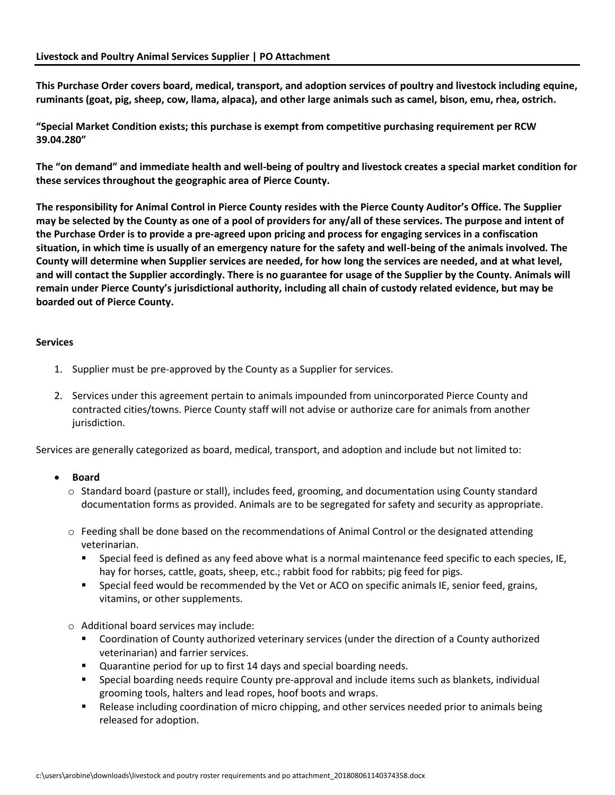**This Purchase Order covers board, medical, transport, and adoption services of poultry and livestock including equine, ruminants (goat, pig, sheep, cow, llama, alpaca), and other large animals such as camel, bison, emu, rhea, ostrich.**

**"Special Market Condition exists; this purchase is exempt from competitive purchasing requirement per RCW 39.04.280"** 

**The "on demand" and immediate health and well-being of poultry and livestock creates a special market condition for these services throughout the geographic area of Pierce County.**

**The responsibility for Animal Control in Pierce County resides with the Pierce County Auditor's Office. The Supplier may be selected by the County as one of a pool of providers for any/all of these services. The purpose and intent of the Purchase Order is to provide a pre-agreed upon pricing and process for engaging services in a confiscation situation, in which time is usually of an emergency nature for the safety and well-being of the animals involved. The County will determine when Supplier services are needed, for how long the services are needed, and at what level, and will contact the Supplier accordingly. There is no guarantee for usage of the Supplier by the County. Animals will remain under Pierce County's jurisdictional authority, including all chain of custody related evidence, but may be boarded out of Pierce County.**

## **Services**

- 1. Supplier must be pre-approved by the County as a Supplier for services.
- 2. Services under this agreement pertain to animals impounded from unincorporated Pierce County and contracted cities/towns. Pierce County staff will not advise or authorize care for animals from another jurisdiction.

Services are generally categorized as board, medical, transport, and adoption and include but not limited to:

# • **Board**

- o Standard board (pasture or stall), includes feed, grooming, and documentation using County standard documentation forms as provided. Animals are to be segregated for safety and security as appropriate.
- $\circ$  Feeding shall be done based on the recommendations of Animal Control or the designated attending veterinarian.
	- Special feed is defined as any feed above what is a normal maintenance feed specific to each species, IE, hay for horses, cattle, goats, sheep, etc.; rabbit food for rabbits; pig feed for pigs.
	- Special feed would be recommended by the Vet or ACO on specific animals IE, senior feed, grains, vitamins, or other supplements.
- o Additional board services may include:
	- Coordination of County authorized veterinary services (under the direction of a County authorized veterinarian) and farrier services.
	- Quarantine period for up to first 14 days and special boarding needs.
	- Special boarding needs require County pre-approval and include items such as blankets, individual grooming tools, halters and lead ropes, hoof boots and wraps.
	- Release including coordination of micro chipping, and other services needed prior to animals being released for adoption.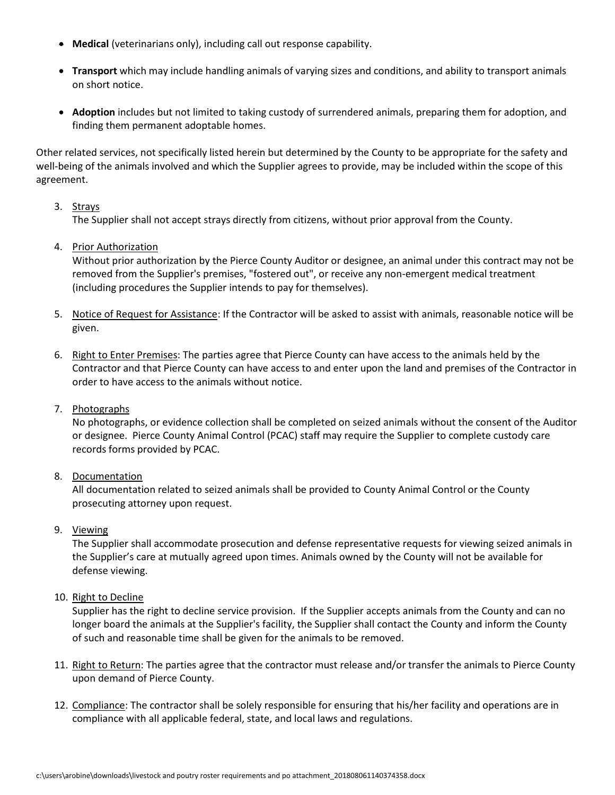- **Medical** (veterinarians only), including call out response capability.
- **Transport** which may include handling animals of varying sizes and conditions, and ability to transport animals on short notice.
- **Adoption** includes but not limited to taking custody of surrendered animals, preparing them for adoption, and finding them permanent adoptable homes.

Other related services, not specifically listed herein but determined by the County to be appropriate for the safety and well-being of the animals involved and which the Supplier agrees to provide, may be included within the scope of this agreement.

## 3. Strays

The Supplier shall not accept strays directly from citizens, without prior approval from the County.

4. Prior Authorization

Without prior authorization by the Pierce County Auditor or designee, an animal under this contract may not be removed from the Supplier's premises, "fostered out", or receive any non-emergent medical treatment (including procedures the Supplier intends to pay for themselves).

- 5. Notice of Request for Assistance: If the Contractor will be asked to assist with animals, reasonable notice will be given.
- 6. Right to Enter Premises: The parties agree that Pierce County can have access to the animals held by the Contractor and that Pierce County can have access to and enter upon the land and premises of the Contractor in order to have access to the animals without notice.
- 7. Photographs

No photographs, or evidence collection shall be completed on seized animals without the consent of the Auditor or designee. Pierce County Animal Control (PCAC) staff may require the Supplier to complete custody care records forms provided by PCAC.

8. Documentation

All documentation related to seized animals shall be provided to County Animal Control or the County prosecuting attorney upon request.

9. Viewing

The Supplier shall accommodate prosecution and defense representative requests for viewing seized animals in the Supplier's care at mutually agreed upon times. Animals owned by the County will not be available for defense viewing.

10. Right to Decline

Supplier has the right to decline service provision. If the Supplier accepts animals from the County and can no longer board the animals at the Supplier's facility, the Supplier shall contact the County and inform the County of such and reasonable time shall be given for the animals to be removed.

- 11. Right to Return: The parties agree that the contractor must release and/or transfer the animals to Pierce County upon demand of Pierce County.
- 12. Compliance: The contractor shall be solely responsible for ensuring that his/her facility and operations are in compliance with all applicable federal, state, and local laws and regulations.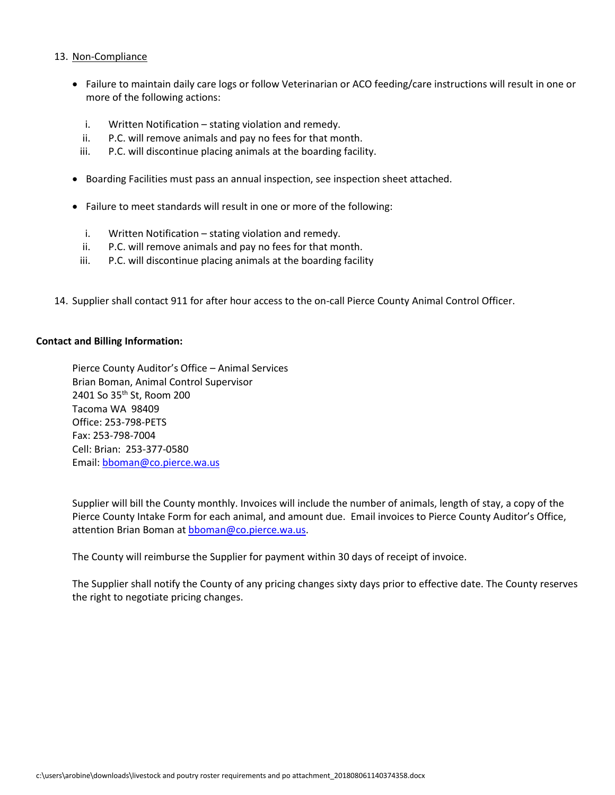### 13. Non-Compliance

- Failure to maintain daily care logs or follow Veterinarian or ACO feeding/care instructions will result in one or more of the following actions:
	- i. Written Notification stating violation and remedy.
	- ii. P.C. will remove animals and pay no fees for that month.
	- iii. P.C. will discontinue placing animals at the boarding facility.
- Boarding Facilities must pass an annual inspection, see inspection sheet attached.
- Failure to meet standards will result in one or more of the following:
	- i. Written Notification stating violation and remedy.
	- ii. P.C. will remove animals and pay no fees for that month.
	- iii. P.C. will discontinue placing animals at the boarding facility
- 14. Supplier shall contact 911 for after hour access to the on-call Pierce County Animal Control Officer.

#### **Contact and Billing Information:**

Pierce County Auditor's Office – Animal Services Brian Boman, Animal Control Supervisor 2401 So 35<sup>th</sup> St, Room 200 Tacoma WA 98409 Office: 253-798-PETS Fax: 253-798-7004 Cell: Brian: 253-377-0580 Email: [bboman@co.pierce.wa.us](mailto:bboman@co.pierce.wa.us)

Supplier will bill the County monthly. Invoices will include the number of animals, length of stay, a copy of the Pierce County Intake Form for each animal, and amount due. Email invoices to Pierce County Auditor's Office, attention Brian Boman a[t bboman@co.pierce.wa.us.](mailto:bboman@co.pierce.wa.us)

The County will reimburse the Supplier for payment within 30 days of receipt of invoice.

The Supplier shall notify the County of any pricing changes sixty days prior to effective date. The County reserves the right to negotiate pricing changes.